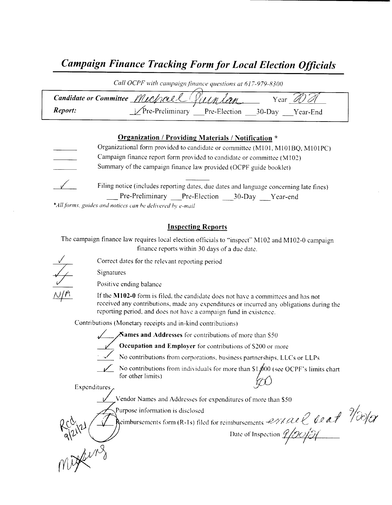## Campaign Finance Tracking Form for Local Election Officials

| Call OCPF with campaign finance questions at 617-979-8300 |                                         |                 |  |
|-----------------------------------------------------------|-----------------------------------------|-----------------|--|
|                                                           | Candidate or Committee Mechael Villnlan | Year            |  |
| Report:                                                   | <b>The-Preliminary</b><br>Pre-Election  | 30-Day Year-End |  |

#### Organization / Providing Materials / Notification \*

Organizational form provided to candidate or committee (M101, M101BQ, M101PC) Campaign finance report form provided to candidate or committee ( M102) Summary of the campaign finance law provided (OCPF guide booklet) Filing notice (includes reporting dates, due dates and language concerning late fines)

Pre-Preliminary Pre-Election 30-Day Year-end

\*All forms, guides and notices can be delivered by e-mail

#### Inspecting Reports

The campaign finance law requires local election officials to "inspect" M102 and M102-0 campaign finance reports within 30 days of <sup>a</sup> due date.

Correct dates for the relevant reporting period

Positive ending balance

If the M102-0 form is filed, the candidate does not have a committees and has not received any contributions, made any expenditures or incurred any obligations during the reporting period, and does not have a campaign fund in existence.

Contributions( Monetary receipts and in- kind contributions)

Signatures

Alames and Addresses for contributions of more than S50

Occupation and Employer for contributions of S200 or more 7

No contributions from corporations, business partnerships, LLCs or LLPs

No contributions from individuals for more than  $$1,000$  (see OCPF's limits chart for other limits) No contributions from individuals for more than \$1,000<br>Expenditures

Vendor Names and Addresses for expenditures of more than S50

Purpose information is disclosed 2/2  $\sqrt{2}/\sqrt{2}$ 

**Reimbursements form (R-1s)** filed for reimbursements  $P/4A$ 

 $\kappa$ 

Vendor Names and Addresses for expenditures of more than \$50<br>Purpose information is disclosed<br> $2\pi\sqrt{2}$  eimbursements form (R-1s) filed for reimbursements  $2\pi\sqrt{2}$  (Leaf 16)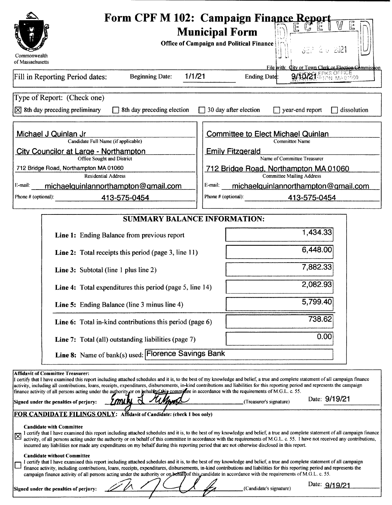|                                                                                                                                                                                                                                                                                                                                                                                                                                                                                                                                                          | Form CPF M 102: Campaign Finance Report                                                                                                                                                                                                                                                                                                                            |  |  |  |
|----------------------------------------------------------------------------------------------------------------------------------------------------------------------------------------------------------------------------------------------------------------------------------------------------------------------------------------------------------------------------------------------------------------------------------------------------------------------------------------------------------------------------------------------------------|--------------------------------------------------------------------------------------------------------------------------------------------------------------------------------------------------------------------------------------------------------------------------------------------------------------------------------------------------------------------|--|--|--|
|                                                                                                                                                                                                                                                                                                                                                                                                                                                                                                                                                          | <b>Municipal Form</b>                                                                                                                                                                                                                                                                                                                                              |  |  |  |
|                                                                                                                                                                                                                                                                                                                                                                                                                                                                                                                                                          | <b>Office of Campaign and Political Finance</b><br>382 2 U 2021                                                                                                                                                                                                                                                                                                    |  |  |  |
| Commonwealth<br>of Massachusetts                                                                                                                                                                                                                                                                                                                                                                                                                                                                                                                         |                                                                                                                                                                                                                                                                                                                                                                    |  |  |  |
|                                                                                                                                                                                                                                                                                                                                                                                                                                                                                                                                                          | File with: City or Town Clerk or Election Commission<br><b>21. ERKS OFFICE</b>                                                                                                                                                                                                                                                                                     |  |  |  |
| 1/1/21<br><b>Beginning Date:</b><br>Fill in Reporting Period dates:                                                                                                                                                                                                                                                                                                                                                                                                                                                                                      | Ending Date:                                                                                                                                                                                                                                                                                                                                                       |  |  |  |
| Type of Report: (Check one)                                                                                                                                                                                                                                                                                                                                                                                                                                                                                                                              |                                                                                                                                                                                                                                                                                                                                                                    |  |  |  |
| $[\times]$ 8th day preceding preliminary<br>$\Box$ 8th day preceding election                                                                                                                                                                                                                                                                                                                                                                                                                                                                            | $\Box$ 30 day after election<br>year-end report<br>dissolution                                                                                                                                                                                                                                                                                                     |  |  |  |
| Michael J Quinlan Jr                                                                                                                                                                                                                                                                                                                                                                                                                                                                                                                                     | <b>Committee to Elect Michael Quinlan</b>                                                                                                                                                                                                                                                                                                                          |  |  |  |
| Candidate Full Name (if applicable)<br><b>City Councilor at Large - Northampton</b>                                                                                                                                                                                                                                                                                                                                                                                                                                                                      | <b>Committee Name</b><br><b>Emily Fitzgerald</b>                                                                                                                                                                                                                                                                                                                   |  |  |  |
| Office Sought and District                                                                                                                                                                                                                                                                                                                                                                                                                                                                                                                               | Name of Committee Treasurer                                                                                                                                                                                                                                                                                                                                        |  |  |  |
| 712 Bridge Road, Northampton MA 01060<br><b>Residential Address</b>                                                                                                                                                                                                                                                                                                                                                                                                                                                                                      | 712 Bridge Road, Northampton MA 01060<br><b>Committee Mailing Address</b>                                                                                                                                                                                                                                                                                          |  |  |  |
| E-mail:<br>michaelquinlannorthampton@gmail.com                                                                                                                                                                                                                                                                                                                                                                                                                                                                                                           | E-mail:<br>michaelquinlannorthampton@gmail.com                                                                                                                                                                                                                                                                                                                     |  |  |  |
| Phone # (optional):<br>413-575-0454                                                                                                                                                                                                                                                                                                                                                                                                                                                                                                                      | Phone # (optional):<br>413-575-0454                                                                                                                                                                                                                                                                                                                                |  |  |  |
| <b>SUMMARY BALANCE INFORMATION:</b>                                                                                                                                                                                                                                                                                                                                                                                                                                                                                                                      |                                                                                                                                                                                                                                                                                                                                                                    |  |  |  |
|                                                                                                                                                                                                                                                                                                                                                                                                                                                                                                                                                          |                                                                                                                                                                                                                                                                                                                                                                    |  |  |  |
| Line 1: Ending Balance from previous report                                                                                                                                                                                                                                                                                                                                                                                                                                                                                                              | 1,434.33                                                                                                                                                                                                                                                                                                                                                           |  |  |  |
| Line 2: Total receipts this period (page 3, line 11)                                                                                                                                                                                                                                                                                                                                                                                                                                                                                                     | 6,448.00                                                                                                                                                                                                                                                                                                                                                           |  |  |  |
| <b>Line 3:</b> Subtotal (line 1 plus line 2)                                                                                                                                                                                                                                                                                                                                                                                                                                                                                                             | 7,882.33                                                                                                                                                                                                                                                                                                                                                           |  |  |  |
| Line 4: Total expenditures this period (page 5, line 14)                                                                                                                                                                                                                                                                                                                                                                                                                                                                                                 | 2,082.93                                                                                                                                                                                                                                                                                                                                                           |  |  |  |
| Line 5: Ending Balance (line 3 minus line 4)                                                                                                                                                                                                                                                                                                                                                                                                                                                                                                             | 5,799.40                                                                                                                                                                                                                                                                                                                                                           |  |  |  |
| <b>Line 6:</b> Total in-kind contributions this period (page 6)                                                                                                                                                                                                                                                                                                                                                                                                                                                                                          | 738.62                                                                                                                                                                                                                                                                                                                                                             |  |  |  |
| <b>Line 7:</b> Total (all) outstanding liabilities (page 7)                                                                                                                                                                                                                                                                                                                                                                                                                                                                                              | 0.00                                                                                                                                                                                                                                                                                                                                                               |  |  |  |
| Line 8: Name of bank(s) used: Florence Savings Bank                                                                                                                                                                                                                                                                                                                                                                                                                                                                                                      |                                                                                                                                                                                                                                                                                                                                                                    |  |  |  |
| <b>Affidavit of Committee Treasurer:</b>                                                                                                                                                                                                                                                                                                                                                                                                                                                                                                                 |                                                                                                                                                                                                                                                                                                                                                                    |  |  |  |
| certify that I have examined this report including attached schedules and it is, to the best of my knowledge and belief, a true and complete statement of all campaign finance<br>activity, including all contributions, loans, receipts, expenditures, disbursements, in-kind contributions and liabilities for this reporting period and represents the campaign                                                                                                                                                                                       |                                                                                                                                                                                                                                                                                                                                                                    |  |  |  |
| finance activity of all persons acting under the authority or on hehalfor this commune in accordance with the requirements of M.G.L. c. 55.<br>miki<br>Signed under the penalties of perjury:                                                                                                                                                                                                                                                                                                                                                            | Date: 9/19/21<br>(Treasurer's signature)                                                                                                                                                                                                                                                                                                                           |  |  |  |
| FOR CANDIDATE FILINGS ONLY: Affidavit of Candidate: (check 1 box only)                                                                                                                                                                                                                                                                                                                                                                                                                                                                                   |                                                                                                                                                                                                                                                                                                                                                                    |  |  |  |
| <b>Candidate with Committee</b>                                                                                                                                                                                                                                                                                                                                                                                                                                                                                                                          |                                                                                                                                                                                                                                                                                                                                                                    |  |  |  |
| 区<br>incurred any liabilities nor made any expenditures on my behalf during this reporting period that are not otherwise disclosed in this report.                                                                                                                                                                                                                                                                                                                                                                                                       | I certify that I have examined this report including attached schedules and it is, to the best of my knowledge and belief, a true and complete statement of all campaign finance<br>activity, of all persons acting under the authority or on behalf of this committee in accordance with the requirements of M.G.L. c. 55. I have not received any contributions, |  |  |  |
| <b>Candidate without Committee</b><br>I certify that I have examined this report including attached schedules and it is, to the best of my knowledge and belief, a true and complete statement of all campaign<br>finance activity, including contributions, loans, receipts, expenditures, disbursements, in-kind contributions and liabilities for this reporting period and represents the<br>campaign finance activity of all persons acting under the authority or on behall of this candidate in accordance with the requirements of M.G.L. c. 55. |                                                                                                                                                                                                                                                                                                                                                                    |  |  |  |
| Signed under the penalties of perjury:                                                                                                                                                                                                                                                                                                                                                                                                                                                                                                                   | Date: 9/19/21<br>(Candidate's signature)                                                                                                                                                                                                                                                                                                                           |  |  |  |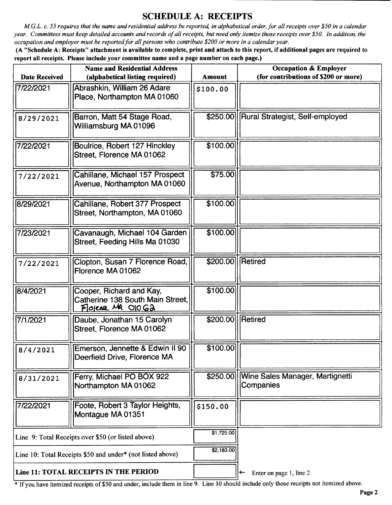## SCHEDULE A: RECEIPTS

M.G.L. c. 55 requires that the name and residential address be reported, in alphabetical order, for all receipts over\$ 50 in <sup>a</sup> calendar year. Committees must keep detailed accounts and records of all receipts, but need only itemize those receipts over\$ 50. In addition, the occupation and employer must be reported for all persons who contribute\$ 200 or more in <sup>a</sup> calendar year.

A" Schedule A: Receipts" attachment is available to complete, print and attach to this report, if additional pages are required to report all receipts. Please include your committee name and a page number on each page.)

| <b>Name and Residential Address</b><br><b>Date Received</b><br>(alphabetical listing required) |                                                                                   | <b>Amount</b>      | <b>Occupation &amp; Employer</b><br>(for contributions of \$200 or more) |
|------------------------------------------------------------------------------------------------|-----------------------------------------------------------------------------------|--------------------|--------------------------------------------------------------------------|
| 7/22/2021                                                                                      | Abrashkin, William 26 Adare<br>Place, Northampton MA 01060                        | \$100.00           |                                                                          |
|                                                                                                | Barron, Matt 54 Stage Road,                                                       |                    | \$250.00  Rural Strategist, Self-employed                                |
| 8/29/2021                                                                                      | Williamsburg MA 01096                                                             |                    |                                                                          |
| 7/22/2021                                                                                      | Boulrice, Robert 127 Hinckley<br>Street, Florence MA 01062                        | \$100.00           |                                                                          |
| 7/22/2021                                                                                      | Cahillane, Michael 157 Prospect<br>Avenue, Northampton MA 01060                   | \$75.00            |                                                                          |
| 8/29/2021                                                                                      | Cahillane, Robert 377 Prospect<br>Street, Northampton, MA 01060                   | \$100.00           |                                                                          |
| 7/23/2021                                                                                      | Cavanaugh, Michael 104 Garden<br>Street, Feeding Hills Ma 01030                   | \$100.00           |                                                                          |
| 7/22/2021                                                                                      | Clopton, Susan 7 Florence Road,<br>Florence MA 01062                              | \$200.00   Retired |                                                                          |
| 8/4/2021                                                                                       | Cooper, Richard and Kay,<br>Catherine 138 South Main Street,<br>Florence MA OIOG2 | \$100.00           |                                                                          |
| 7/1/2021                                                                                       | Daube, Jonathan 15 Carolyn<br>Street, Florence MA 01062                           | \$200.00           | Retired                                                                  |
| 8/4/2021                                                                                       | Emerson, Jennette & Edwin II 90<br>Deerfield Drive, Florence MA                   | \$100.00           |                                                                          |
| 8/31/2021                                                                                      | Ferry, Michael PO BOX 922<br>Northampton MA 01062                                 |                    | \$250.00 Wine Sales Manager, Martignetti<br>Companies                    |
| 7/22/2021                                                                                      | Foote, Robert 3 Taylor Heights,<br>Montague MA 01351                              | \$150.00           |                                                                          |
| Line 9: Total Receipts over \$50 (or listed above)                                             |                                                                                   | \$1,725.00         |                                                                          |
| Line 10: Total Receipts \$50 and under* (not listed above)                                     |                                                                                   | \$2,183.00         |                                                                          |
| Line 11: TOTAL RECEIPTS IN THE PERIOD                                                          |                                                                                   |                    | Enter on page 1, line 2<br>←                                             |

\* If you have itemized receipts of \$50 and under, include them in line 9. Line 10 should include only those receipts not itemized above.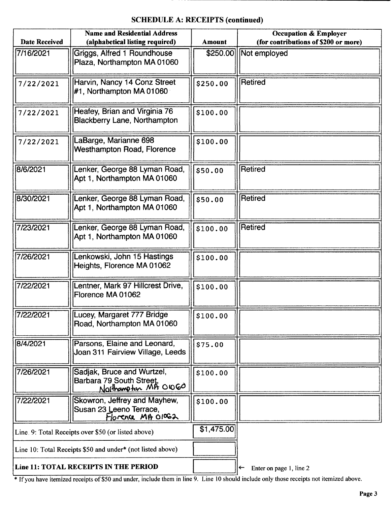## SCHEDULE A: RECEIPTS (continued)

| <b>Name and Residential Address</b>                |                                                                               |               | <b>Occupation &amp; Employer</b>     |
|----------------------------------------------------|-------------------------------------------------------------------------------|---------------|--------------------------------------|
| <b>Date Received</b>                               | (alphabetical listing required)                                               | <b>Amount</b> | (for contributions of \$200 or more) |
| 7/16/2021                                          | Griggs, Alfred 1 Roundhouse<br>Plaza, Northampton MA 01060                    |               | \$250.00 Mot employed                |
| 7/22/2021                                          | Harvin, Nancy 14 Conz Street<br>#1, Northampton MA 01060                      | \$250.00      | <b>Retired</b>                       |
| 7/22/2021                                          | Heafey, Brian and Virginia 76<br>Blackberry Lane, Northampton                 | \$100.00      |                                      |
| 7/22/2021                                          | LaBarge, Marianne 698<br>Westhampton Road, Florence                           | \$100.00      |                                      |
| 8/6/2021                                           | Lenker, George 88 Lyman Road,<br>Apt 1, Northampton MA 01060                  | \$50.00       | Retired                              |
| 8/30/2021                                          | Lenker, George 88 Lyman Road,<br>Apt 1, Northampton MA 01060                  | \$50.00       | <b>Retired</b>                       |
| 7/23/2021                                          | Lenker, George 88 Lyman Road,<br>Apt 1, Northampton MA 01060                  | \$100.00      | Retired                              |
| 7/26/2021                                          | Lenkowski, John 15 Hastings<br>Heights, Florence MA 01062                     | \$100.00      |                                      |
| 7/22/2021                                          | Lentner, Mark 97 Hillcrest Drive,<br>Florence MA 01062                        | \$100.00      |                                      |
| 7/22/2021                                          | Lucey, Margaret 777 Bridge<br>Road, Northampton MA 01060                      | \$100.00      |                                      |
| 8/4/2021                                           | Parsons, Elaine and Leonard,<br>Joan 311 Fairview Village, Leeds              | \$75.00       |                                      |
| 7/26/2021                                          | Sadjak, Bruce and Wurtzel,<br>Barbara 79 South Street,<br>Northampton MA OOGO | \$100.00      |                                      |
| 7/22/2021                                          | Skowron, Jeffrey and Mayhew,<br>Susan 23 Leeno Terrace,<br>Florence MA 01062  | \$100.00      |                                      |
| Line 9: Total Receipts over \$50 (or listed above) |                                                                               | \$1,475.00    |                                      |
|                                                    | Line 10: Total Receipts \$50 and under* (not listed above)                    |               |                                      |
| Line 11: TOTAL RECEIPTS IN THE PERIOD              |                                                                               |               | Enter on page 1, line 2<br>←         |

If you have itemized receipts of\$50 and under, include them in line 9. Line <sup>10</sup> should include only those receipts not itemized above.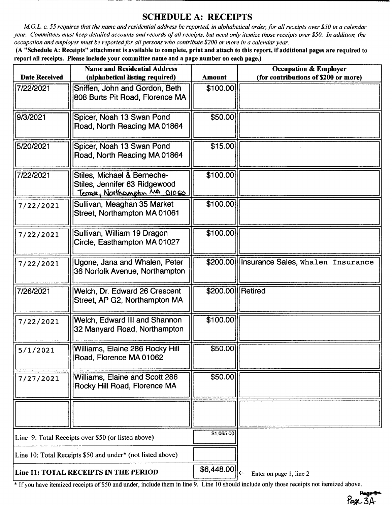## SCHEDULE A: RECEIPTS

M.G.L. c. 55 requires that the name and residential address be reported, in alphabetical order, for all receipts over \$50 in a calendar year. Committees must keep detailed accounts and records of all receipts, but need only itemize those receipts over \$50. In addition, the occupation and employer must be reported for all persons who contribute\$ 200 or more in a calendar year.

A" Schedule A: Receipts" attachment is available to complete, print and attach to this report, if additional pages are required to report all receipts. Please include your committee name and a page number on each page.)

| <b>Name and Residential Address</b>                |                                                                                                |                  | <b>Occupation &amp; Employer</b>           |
|----------------------------------------------------|------------------------------------------------------------------------------------------------|------------------|--------------------------------------------|
| <b>Date Received</b>                               | (alphabetical listing required)                                                                | <b>Amount</b>    | (for contributions of \$200 or more)       |
| 7/22/2021                                          | Sniffen, John and Gordon, Beth<br>808 Burts Pit Road, Florence MA                              | \$100.00         |                                            |
| 9/3/2021                                           | Spicer, Noah 13 Swan Pond<br>Road, North Reading MA 01864                                      | \$50.00          |                                            |
| 5/20/2021                                          | Spicer, Noah 13 Swan Pond<br>Road, North Reading MA 01864                                      | \$15.00          |                                            |
| 7/22/2021                                          | Stiles, Michael & Berneche-<br>Stiles, Jennifer 63 Ridgewood<br>Terrace, Northcompton MA 01060 | \$100.00         |                                            |
| 7/22/2021                                          | Sullivan, Meaghan 35 Market<br>Street, Northampton MA 01061                                    | \$100.00         |                                            |
| 7/22/2021                                          | Sullivan, William 19 Dragon<br>Circle, Easthampton MA 01027                                    | \$100.00         |                                            |
| 7/22/2021                                          | Ugone, Jana and Whalen, Peter<br>36 Norfolk Avenue, Northampton                                |                  | \$200.00 Insurance Sales, Whalen Insurance |
| 7/26/2021                                          | Welch, Dr. Edward 26 Crescent<br>Street, AP G2, Northampton MA                                 | \$200.00 Retired |                                            |
| 7/22/2021                                          | Welch, Edward III and Shannon<br>32 Manyard Road, Northampton                                  | \$100.00         |                                            |
| 5/1/2021                                           | Williams, Elaine 286 Rocky Hill<br>Road, Florence MA 01062                                     | \$50.00          |                                            |
| 7/27/2021                                          | Williams, Elaine and Scott 286<br>Rocky Hill Road, Florence MA                                 | \$50.00          |                                            |
|                                                    |                                                                                                |                  |                                            |
| Line 9: Total Receipts over \$50 (or listed above) |                                                                                                | \$1,065.00       |                                            |
|                                                    | Line 10: Total Receipts \$50 and under* (not listed above)                                     |                  |                                            |
| Line 11: TOTAL RECEIPTS IN THE PERIOD              |                                                                                                | \$6,448.00       | Enter on page 1, line 2                    |

<sup>\*</sup> If you have itemized receipts of \$50 and under, include them in line 9. Line 10 should include only those receipts not itemized above.

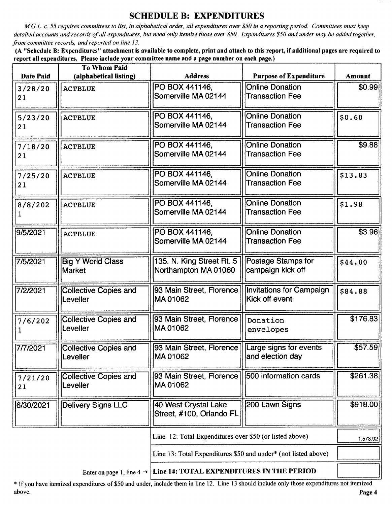### SCHEDULE B: EXPENDITURES

M.G.L. c. 55 requires committees to list, in alphabetical order, all expenditures over \$50 in a reporting period. Committees must keep detailed accounts and records of all expenditures, but need only itemize those over \$50. Expenditures \$50 and under may be added together, from committee records, and reported on line 13.

A" Schedule B: Expenditures" attachment is available to complete, print and attach to this report, if additional pages are required to report all expenditures. Please include your committee name and a page number on each page.)

| <b>Date Paid</b> | <b>To Whom Paid</b><br>(alphabetical listing) | <b>Address</b>                                                 | <b>Purpose of Expenditure</b>                    | <b>Amount</b> |
|------------------|-----------------------------------------------|----------------------------------------------------------------|--------------------------------------------------|---------------|
|                  |                                               | PO BOX 441146,                                                 | <b>Online Donation</b>                           | \$0.99        |
| 3/28/20<br>21    | <b>ACTBLUE</b>                                | Somerville MA 02144                                            | <b>Transaction Fee</b>                           |               |
| 5/23/20<br>21    | <b>ACTBLUE</b>                                | PO BOX 441146,<br>Somerville MA 02144                          | <b>Online Donation</b><br><b>Transaction Fee</b> | \$0.60        |
| 7/18/20<br>21    | <b>ACTBLUE</b>                                | PO BOX 441146,<br>Somerville MA 02144                          | <b>Online Donation</b><br><b>Transaction Fee</b> | \$9.88        |
| 7/25/20<br>21    | <b>ACTBLUE</b>                                | PO BOX 441146,<br>Somerville MA 02144                          | <b>Online Donation</b><br><b>Transaction Fee</b> | \$13.83       |
| 8/8/202          | <b>ACTBLUE</b>                                | PO BOX 441146,<br>Somerville MA 02144                          | <b>Online Donation</b><br><b>Transaction Fee</b> | \$1.98        |
| 9/5/2021         | <b>ACTBLUE</b>                                | PO BOX 441146,<br>Somerville MA 02144                          | <b>Online Donation</b><br><b>Transaction Fee</b> | \$3.96        |
| 7/5/2021         | <b>Big Y World Class</b><br>Market            | 135. N. King Street Rt. 5<br>Northampton MA 01060              | Postage Stamps for<br>campaign kick off          | \$44.00       |
| 7/2/2021         | <b>Collective Copies and</b><br>Leveller      | 93 Main Street, Florence<br>MA01062                            | Invitations for Campaign<br>Kick off event       | \$84.88       |
| 7/6/202          | <b>Collective Copies and</b><br>Leveller      | 93 Main Street, Florence<br>MA01062                            | Donation<br>envelopes                            | \$176.83      |
| 7/7/2021         | <b>Collective Copies and</b><br>Leveller      | 93 Main Street, Florence   Large signs for events<br>MA 01062  | and election day                                 | \$57.59       |
| 7/21/20<br>21    | <b>Collective Copies and</b><br>Leveller      | 93 Main Street, Florence<br>MA01062                            | 500 information cards                            | \$261.38      |
| 6/30/2021        | <b>Delivery Signs LLC</b>                     | 40 West Crystal Lake<br>Street, #100, Orlando FL               | 200 Lawn Signs                                   | \$918.00      |
|                  |                                               | Line 12: Total Expenditures over \$50 (or listed above)        |                                                  | 1,573.92      |
|                  |                                               | Line 13: Total Expenditures \$50 and under* (not listed above) |                                                  |               |

Enter on page 1, line  $4 \rightarrow$  Line 14: TOTAL EXPENDITURES IN THE PERIOD

If you have itemized expenditures of\$50 and under, include them in line 12. Line <sup>13</sup> should include only those expenditures not itemized above. **Page 4** and the set of the set of the set of the set of the set of the set of the set of the set of the set of the set of the set of the set of the set of the set of the set of the set of the set of the set of the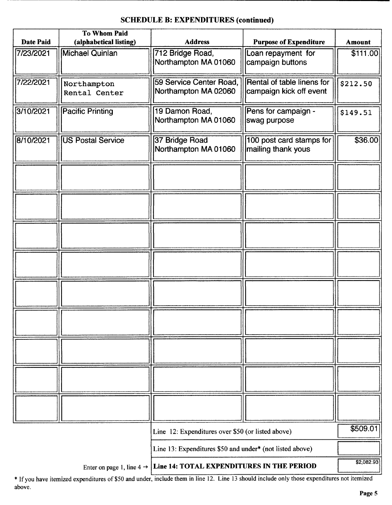# To Whom Paid Date Paid | (alphabetical listing) | Address | Purpose of Expenditure | Amount 7/23/2021 | Michael Quinlan | 712 Bridge Road, | Loan repayment for | \$111.00 Northampton MA 01060 |||campaign buttons  $\frac{7}{22/2021}$  Northampton 59 Service Center Road, Rental of table linens for \$212.50<br>Rental Center Northampton MA 02060 campaign kick off event Rental Center ||Northampton MA 02060 3/10/2021 ||Pacific Printing || 19 Damon Road, || Pens for campaign - || \$149.51<br>|| Northampton MA 01060 || swag purpose Northampton MA 01060 8/10/2021 US Postal Service 37 Bridge Road 100 post card stamps for \$36.00<br>Northampton MA 01060 mailing thank yous Northampton MA 01060 Line 12: Expenditures over \$50 (or listed above) 509.01 Line 13: Expenditures \$50 and under\* (not listed above) \$2,082.93

#### SCHEDULE B: EXPENDITURES (continued)

Enter on page 1, line  $4 \rightarrow$  Line 14: TOTAL EXPENDITURES IN THE PERIOD

\* If you have itemized expenditures of \$50 and under, include them in line 12. Line 13 should include only those expenditures not itemized above.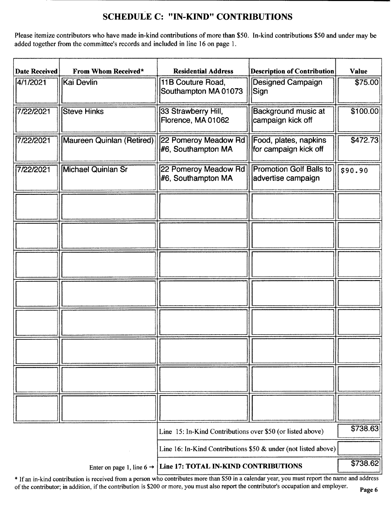## SCHEDULE C: " IN-KIND" CONTRIBUTIONS

Please itemize contributors who have made in-kind contributions of more than \$50. In-kind contributions \$50 and under may be added together from the committee's records and included in line 16 on page 1.

| <b>Date Received</b> | From Whom Received*                   | <b>Residential Address</b>                                     | <b>Description of Contribution</b>                   | <b>Value</b> |
|----------------------|---------------------------------------|----------------------------------------------------------------|------------------------------------------------------|--------------|
| 4/1/2021             | Kai Devlin                            | 11B Couture Road,<br>Southampton MA 01073                      | <b>Designed Campaign</b><br>Sign                     | \$75.00      |
| 7/22/2021            | <b>Steve Hinks</b>                    | 33 Strawberry Hill,<br>Florence, MA 01062                      | Background music at<br>campaign kick off             | \$100.00     |
| 7/22/2021            | Maureen Quinlan (Retired)             | 22 Pomeroy Meadow Rd<br>#6, Southampton MA                     | Food, plates, napkins<br>for campaign kick off       | \$472.73     |
| 7/22/2021            | Michael Quinlan Sr                    | 22 Pomeroy Meadow Rd<br>#6, Southampton MA                     | <b>Promotion Golf Balls to</b><br>advertise campaign | \$90.90      |
|                      |                                       |                                                                |                                                      |              |
|                      |                                       |                                                                |                                                      |              |
|                      |                                       |                                                                |                                                      |              |
|                      |                                       |                                                                |                                                      |              |
|                      |                                       |                                                                |                                                      |              |
|                      |                                       |                                                                |                                                      |              |
|                      |                                       |                                                                |                                                      |              |
|                      |                                       |                                                                |                                                      |              |
|                      |                                       | Line 15: In-Kind Contributions over \$50 (or listed above)     |                                                      | \$738.63     |
|                      |                                       | Line 16: In-Kind Contributions \$50 & under (not listed above) |                                                      |              |
|                      | Enter on page 1, line 6 $\rightarrow$ | Line 17: TOTAL IN-KIND CONTRIBUTIONS                           |                                                      | \$738.62     |

\* If an in-kind contribution is received from a person who contributes more than \$50 in a calendar year, you must report the name and address of the contributor; in addition, if the contribution is \$200 or more, you must also report the contributor's occupation and employer.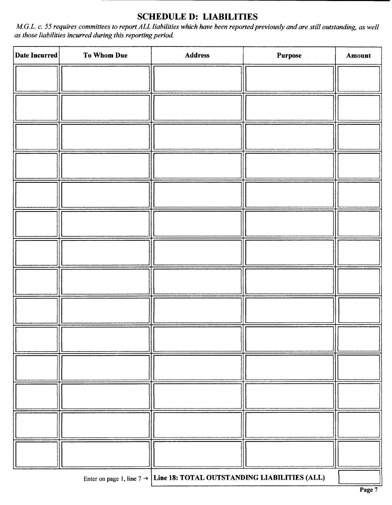## SCHEDULE D: LIABILITIES

M.G.L. c. 55 requires committees to report ALL liabilities which have been reported previously and are still outstanding, as well as those liabilities incurred during this reporting period.

| Date Incurred | To Whom Due | <b>Address</b>                                                                     | Purpose | Amount |
|---------------|-------------|------------------------------------------------------------------------------------|---------|--------|
|               |             |                                                                                    |         |        |
|               |             |                                                                                    |         |        |
|               |             |                                                                                    |         |        |
|               |             |                                                                                    |         |        |
|               |             |                                                                                    |         |        |
|               |             |                                                                                    |         |        |
|               |             |                                                                                    |         |        |
|               |             |                                                                                    |         |        |
|               |             |                                                                                    |         |        |
|               |             |                                                                                    |         |        |
|               |             |                                                                                    |         |        |
|               |             |                                                                                    |         |        |
|               |             |                                                                                    |         |        |
|               |             |                                                                                    |         |        |
|               |             | Enter on page 1, line $7 \rightarrow$ Line 18: TOTAL OUTSTANDING LIABILITIES (ALL) |         |        |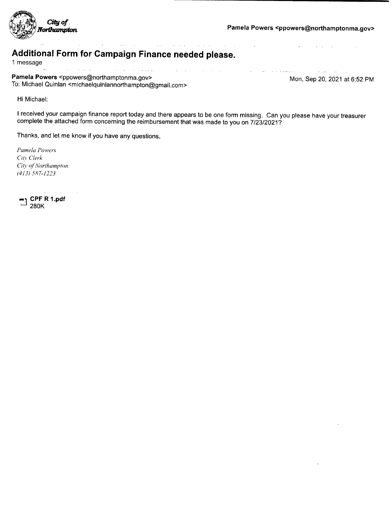

 $\Delta \mathbf{r}$  ,  $\mathbf{r}$ 

المتحصوص والمنافي

 $\sim$  and  $\sim$ 

# Additional Form for Campaign Finance needed please.

<sup>1</sup> message

 $\hat{\beta}$  and  $\hat{\beta}$  are the second form of  $\hat{\beta}$  $\langle \alpha \rangle = \langle \alpha \rangle$ Pamela Powers <ppowers@northamptonma.gov><br>
The Mon, Sep 20, 2021 at 6:52 PM To: Michael Quinlan < michaelquinlannorthampton@gmail. com>

الأراد المترافي

and with the same

Hi Michael:

<sup>I</sup> received your campaign finance report today and there appears to be one form missing. Can you please have your treasurer complete the attached form concerning the reimbursement that was made to you on 7/23/2021?

 $\mathcal{A}^{\mathcal{A}}$  is a set of  $\mathcal{A}^{\mathcal{A}}$  , and  $\mathcal{A}^{\mathcal{A}}$ 

 $\Delta \phi$  $\alpha=1$ 

الفاعل المداري المتعارف

Thanks, and let me know if you have any questions.

Pamela Powers City Clerk City of Northampton 413) 587- 1223

CPF R 1.pdf 280K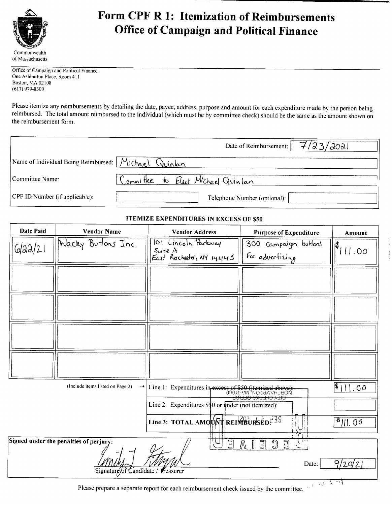

# **EXALLE FORM CPF R 1: Itemization of Reimbursements** Office of Campaign and Political Finance

Office of Campaign and Political Finance One Ashburton Place, Room 411 Boston, MA 02108 617) 979- 8300

Please itemize any reimbursements by detailing the date, payee, address, purpose and amount for each expenditure made by the person being reimbursed. The total amount reimbursed to the individual( which must be by committee check) should be the same as the amount shown on the reimbursement form.

|                                                      | 7/23/2021<br>Date of Reimbursement: |
|------------------------------------------------------|-------------------------------------|
| Name of Individual Being Reimbursed: Michael Quinlan |                                     |
| Committee Name:                                      | Committee to Elect Michael Quintan  |
| CPF ID Number (if applicable):                       | Telephone Number (optional):        |

#### **ITEMIZE EXPENDITURES IN EXCESS OF \$50**

| <b>Date Paid</b> | <b>Vendor Name</b>                                               | <b>Vendor Address</b>                                                             | <b>Purpose of Expenditure</b>                        | Amount      |
|------------------|------------------------------------------------------------------|-----------------------------------------------------------------------------------|------------------------------------------------------|-------------|
| 6/22/21          | Wacky Buttons Inc.                                               | 101 Lincoln Parkway<br>Suite A<br>East Rochester, NY 14445                        | 300 Campaign buffons<br>for advertizing              | ≬<br>711.00 |
|                  |                                                                  |                                                                                   |                                                      |             |
|                  |                                                                  |                                                                                   |                                                      |             |
|                  |                                                                  |                                                                                   |                                                      |             |
|                  |                                                                  |                                                                                   |                                                      |             |
|                  | (Include items listed on Page 2)                                 | Line 1: Expenditures in excess of \$50 (itemized above):<br>09010 VW NOTERVALLEON | <del>CITY CLENKS OFFICE</del>                        | $ 1 $ 00    |
|                  |                                                                  | Line 2: Expenditures \$\$0 or under (not itemized):                               |                                                      |             |
|                  |                                                                  | Line 3: TOTAL AMOURT REIMBURSED. 3                                                |                                                      | 3  .00      |
|                  | Signed under the penalties of perjury:<br>Signature/of Candidate | $\Xi$<br>$\cup$<br>Wreasurer                                                      | 밀<br>哥<br>ி<br>$\mathbb N$<br>$\frac{1}{2}$<br>Date: | 9/20/2      |

Please prepare a separate report for each reimbursement check issued by the committee.